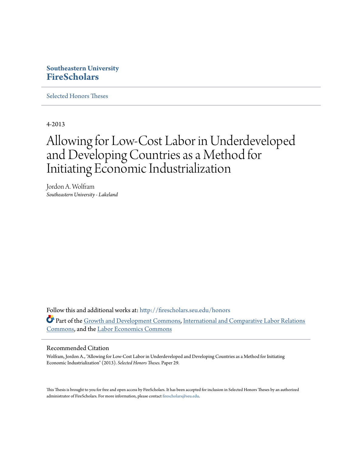## **Southeastern University [FireScholars](http://firescholars.seu.edu?utm_source=firescholars.seu.edu%2Fhonors%2F29&utm_medium=PDF&utm_campaign=PDFCoverPages)**

[Selected Honors Theses](http://firescholars.seu.edu/honors?utm_source=firescholars.seu.edu%2Fhonors%2F29&utm_medium=PDF&utm_campaign=PDFCoverPages)

4-2013

# Allowing for Low-Cost Labor in Underdeveloped and Developing Countries as a Method for Initiating Economic Industrialization

Jordon A. Wolfram *Southeastern University - Lakeland*

Follow this and additional works at: [http://firescholars.seu.edu/honors](http://firescholars.seu.edu/honors?utm_source=firescholars.seu.edu%2Fhonors%2F29&utm_medium=PDF&utm_campaign=PDFCoverPages) Part of the [Growth and Development Commons,](http://network.bepress.com/hgg/discipline/346?utm_source=firescholars.seu.edu%2Fhonors%2F29&utm_medium=PDF&utm_campaign=PDFCoverPages) [International and Comparative Labor Relations](http://network.bepress.com/hgg/discipline/1259?utm_source=firescholars.seu.edu%2Fhonors%2F29&utm_medium=PDF&utm_campaign=PDFCoverPages) [Commons,](http://network.bepress.com/hgg/discipline/1259?utm_source=firescholars.seu.edu%2Fhonors%2F29&utm_medium=PDF&utm_campaign=PDFCoverPages) and the [Labor Economics Commons](http://network.bepress.com/hgg/discipline/349?utm_source=firescholars.seu.edu%2Fhonors%2F29&utm_medium=PDF&utm_campaign=PDFCoverPages)

#### Recommended Citation

Wolfram, Jordon A., "Allowing for Low-Cost Labor in Underdeveloped and Developing Countries as a Method for Initiating Economic Industrialization" (2013). *Selected Honors Theses.* Paper 29.

This Thesis is brought to you for free and open access by FireScholars. It has been accepted for inclusion in Selected Honors Theses by an authorized administrator of FireScholars. For more information, please contact [firescholars@seu.edu](mailto:firescholars@seu.edu).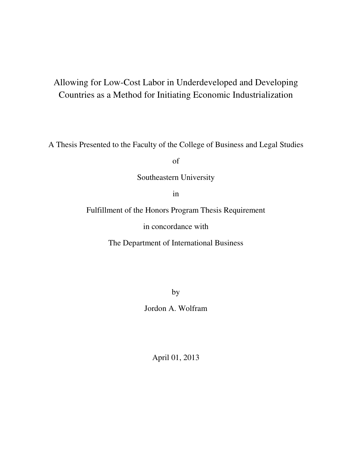# Allowing for Low-Cost Labor in Underdeveloped and Developing Countries as a Method for Initiating Economic Industrialization

A Thesis Presented to the Faculty of the College of Business and Legal Studies

of

Southeastern University

in

Fulfillment of the Honors Program Thesis Requirement

in concordance with

The Department of International Business

by

Jordon A. Wolfram

April 01, 2013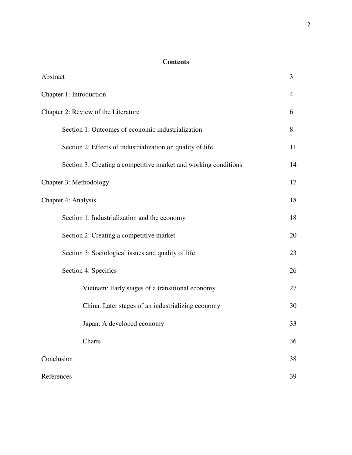### **Contents**

| Abstract                                                        | 3  |
|-----------------------------------------------------------------|----|
| Chapter 1: Introduction                                         | 4  |
| Chapter 2: Review of the Literature                             | 6  |
| Section 1: Outcomes of economic industrialization               | 8  |
| Section 2: Effects of industrialization on quality of life      | 11 |
| Section 3: Creating a competitive market and working conditions | 14 |
| Chapter 3: Methodology                                          | 17 |
| Chapter 4: Analysis                                             | 18 |
| Section 1: Industrialization and the economy                    | 18 |
| Section 2: Creating a competitive market                        | 20 |
| Section 3: Sociological issues and quality of life              | 23 |
| Section 4: Specifics                                            | 26 |
| Vietnam: Early stages of a transitional economy                 | 27 |
| China: Later stages of an industrializing economy               | 30 |
| Japan: A developed economy                                      | 33 |
| Charts                                                          | 36 |
| Conclusion                                                      | 38 |
| References                                                      | 39 |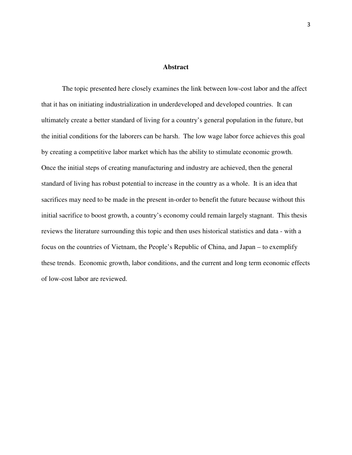#### **Abstract**

The topic presented here closely examines the link between low-cost labor and the affect that it has on initiating industrialization in underdeveloped and developed countries. It can ultimately create a better standard of living for a country's general population in the future, but the initial conditions for the laborers can be harsh. The low wage labor force achieves this goal by creating a competitive labor market which has the ability to stimulate economic growth. Once the initial steps of creating manufacturing and industry are achieved, then the general standard of living has robust potential to increase in the country as a whole. It is an idea that sacrifices may need to be made in the present in-order to benefit the future because without this initial sacrifice to boost growth, a country's economy could remain largely stagnant. This thesis reviews the literature surrounding this topic and then uses historical statistics and data - with a focus on the countries of Vietnam, the People's Republic of China, and Japan – to exemplify these trends. Economic growth, labor conditions, and the current and long term economic effects of low-cost labor are reviewed.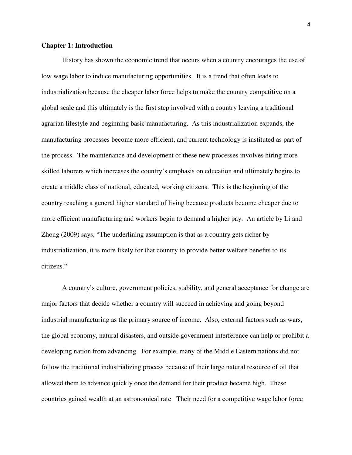#### **Chapter 1: Introduction**

History has shown the economic trend that occurs when a country encourages the use of low wage labor to induce manufacturing opportunities. It is a trend that often leads to industrialization because the cheaper labor force helps to make the country competitive on a global scale and this ultimately is the first step involved with a country leaving a traditional agrarian lifestyle and beginning basic manufacturing. As this industrialization expands, the manufacturing processes become more efficient, and current technology is instituted as part of the process. The maintenance and development of these new processes involves hiring more skilled laborers which increases the country's emphasis on education and ultimately begins to create a middle class of national, educated, working citizens. This is the beginning of the country reaching a general higher standard of living because products become cheaper due to more efficient manufacturing and workers begin to demand a higher pay. An article by Li and Zhong (2009) says, "The underlining assumption is that as a country gets richer by industrialization, it is more likely for that country to provide better welfare benefits to its citizens."

A country's culture, government policies, stability, and general acceptance for change are major factors that decide whether a country will succeed in achieving and going beyond industrial manufacturing as the primary source of income. Also, external factors such as wars, the global economy, natural disasters, and outside government interference can help or prohibit a developing nation from advancing. For example, many of the Middle Eastern nations did not follow the traditional industrializing process because of their large natural resource of oil that allowed them to advance quickly once the demand for their product became high. These countries gained wealth at an astronomical rate. Their need for a competitive wage labor force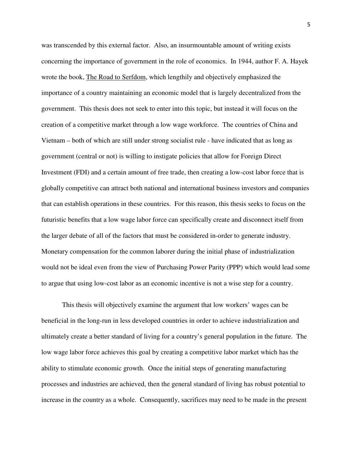was transcended by this external factor. Also, an insurmountable amount of writing exists concerning the importance of government in the role of economics. In 1944, author F. A. Hayek wrote the book, The Road to Serfdom, which lengthily and objectively emphasized the importance of a country maintaining an economic model that is largely decentralized from the government. This thesis does not seek to enter into this topic, but instead it will focus on the creation of a competitive market through a low wage workforce. The countries of China and Vietnam – both of which are still under strong socialist rule - have indicated that as long as government (central or not) is willing to instigate policies that allow for Foreign Direct Investment (FDI) and a certain amount of free trade, then creating a low-cost labor force that is globally competitive can attract both national and international business investors and companies that can establish operations in these countries. For this reason, this thesis seeks to focus on the futuristic benefits that a low wage labor force can specifically create and disconnect itself from the larger debate of all of the factors that must be considered in-order to generate industry. Monetary compensation for the common laborer during the initial phase of industrialization would not be ideal even from the view of Purchasing Power Parity (PPP) which would lead some to argue that using low-cost labor as an economic incentive is not a wise step for a country.

This thesis will objectively examine the argument that low workers' wages can be beneficial in the long-run in less developed countries in order to achieve industrialization and ultimately create a better standard of living for a country's general population in the future. The low wage labor force achieves this goal by creating a competitive labor market which has the ability to stimulate economic growth. Once the initial steps of generating manufacturing processes and industries are achieved, then the general standard of living has robust potential to increase in the country as a whole. Consequently, sacrifices may need to be made in the present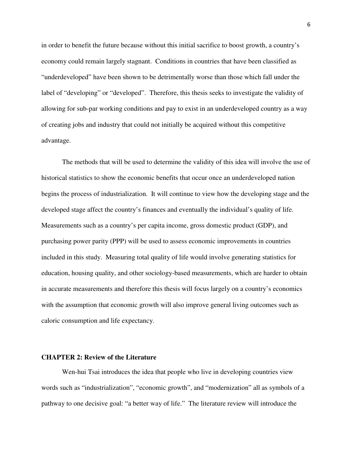in order to benefit the future because without this initial sacrifice to boost growth, a country's economy could remain largely stagnant. Conditions in countries that have been classified as "underdeveloped" have been shown to be detrimentally worse than those which fall under the label of "developing" or "developed". Therefore, this thesis seeks to investigate the validity of allowing for sub-par working conditions and pay to exist in an underdeveloped country as a way of creating jobs and industry that could not initially be acquired without this competitive advantage.

The methods that will be used to determine the validity of this idea will involve the use of historical statistics to show the economic benefits that occur once an underdeveloped nation begins the process of industrialization. It will continue to view how the developing stage and the developed stage affect the country's finances and eventually the individual's quality of life. Measurements such as a country's per capita income, gross domestic product (GDP), and purchasing power parity (PPP) will be used to assess economic improvements in countries included in this study. Measuring total quality of life would involve generating statistics for education, housing quality, and other sociology-based measurements, which are harder to obtain in accurate measurements and therefore this thesis will focus largely on a country's economics with the assumption that economic growth will also improve general living outcomes such as caloric consumption and life expectancy.

#### **CHAPTER 2: Review of the Literature**

Wen-hui Tsai introduces the idea that people who live in developing countries view words such as "industrialization", "economic growth", and "modernization" all as symbols of a pathway to one decisive goal: "a better way of life." The literature review will introduce the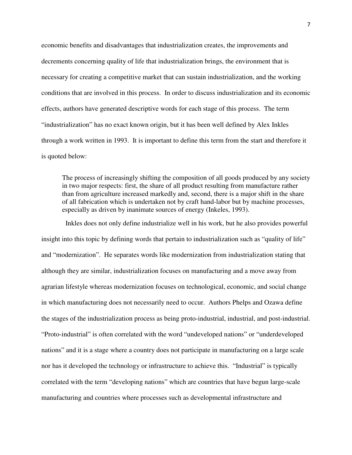economic benefits and disadvantages that industrialization creates, the improvements and decrements concerning quality of life that industrialization brings, the environment that is necessary for creating a competitive market that can sustain industrialization, and the working conditions that are involved in this process. In order to discuss industrialization and its economic effects, authors have generated descriptive words for each stage of this process. The term "industrialization" has no exact known origin, but it has been well defined by Alex Inkles through a work written in 1993. It is important to define this term from the start and therefore it is quoted below:

The process of increasingly shifting the composition of all goods produced by any society in two major respects: first, the share of all product resulting from manufacture rather than from agriculture increased markedly and, second, there is a major shift in the share of all fabrication which is undertaken not by craft hand-labor but by machine processes, especially as driven by inanimate sources of energy (Inkeles, 1993).

 Inkles does not only define industrialize well in his work, but he also provides powerful insight into this topic by defining words that pertain to industrialization such as "quality of life" and "modernization". He separates words like modernization from industrialization stating that although they are similar, industrialization focuses on manufacturing and a move away from agrarian lifestyle whereas modernization focuses on technological, economic, and social change in which manufacturing does not necessarily need to occur. Authors Phelps and Ozawa define the stages of the industrialization process as being proto-industrial, industrial, and post-industrial. "Proto-industrial" is often correlated with the word "undeveloped nations" or "underdeveloped nations" and it is a stage where a country does not participate in manufacturing on a large scale nor has it developed the technology or infrastructure to achieve this. "Industrial" is typically correlated with the term "developing nations" which are countries that have begun large-scale manufacturing and countries where processes such as developmental infrastructure and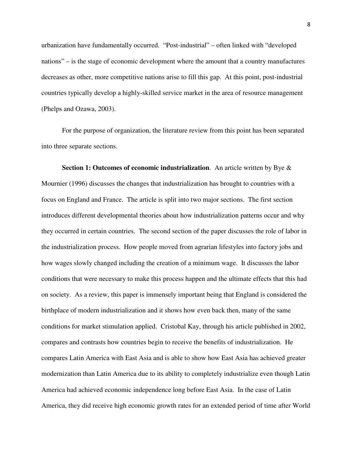urbanization have fundamentally occurred. "Post-industrial" – often linked with "developed nations" – is the stage of economic development where the amount that a country manufactures decreases as other, more competitive nations arise to fill this gap. At this point, post-industrial countries typically develop a highly-skilled service market in the area of resource management (Phelps and Ozawa, 2003).

For the purpose of organization, the literature review from this point has been separated into three separate sections.

**Section 1: Outcomes of economic industrialization**. An article written by Bye & Mournier (1996) discusses the changes that industrialization has brought to countries with a focus on England and France. The article is split into two major sections. The first section introduces different developmental theories about how industrialization patterns occur and why they occurred in certain countries. The second section of the paper discusses the role of labor in the industrialization process. How people moved from agrarian lifestyles into factory jobs and how wages slowly changed including the creation of a minimum wage. It discusses the labor conditions that were necessary to make this process happen and the ultimate effects that this had on society. As a review, this paper is immensely important being that England is considered the birthplace of modern industrialization and it shows how even back then, many of the same conditions for market stimulation applied. Cristobal Kay, through his article published in 2002, compares and contrasts how countries begin to receive the benefits of industrialization. He compares Latin America with East Asia and is able to show how East Asia has achieved greater modernization than Latin America due to its ability to completely industrialize even though Latin America had achieved economic independence long before East Asia. In the case of Latin America, they did receive high economic growth rates for an extended period of time after World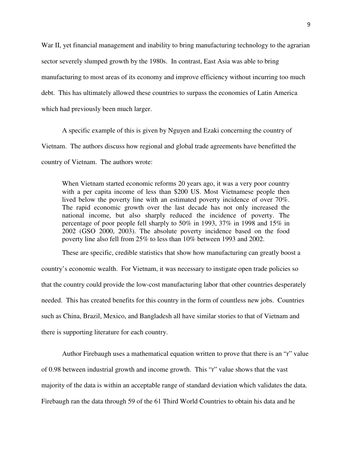War II, yet financial management and inability to bring manufacturing technology to the agrarian sector severely slumped growth by the 1980s. In contrast, East Asia was able to bring manufacturing to most areas of its economy and improve efficiency without incurring too much debt. This has ultimately allowed these countries to surpass the economies of Latin America which had previously been much larger.

A specific example of this is given by Nguyen and Ezaki concerning the country of Vietnam. The authors discuss how regional and global trade agreements have benefitted the country of Vietnam. The authors wrote:

When Vietnam started economic reforms 20 years ago, it was a very poor country with a per capita income of less than \$200 US. Most Vietnamese people then lived below the poverty line with an estimated poverty incidence of over 70%. The rapid economic growth over the last decade has not only increased the national income, but also sharply reduced the incidence of poverty. The percentage of poor people fell sharply to 50% in 1993, 37% in 1998 and 15% in 2002 (GSO 2000, 2003). The absolute poverty incidence based on the food poverty line also fell from 25% to less than 10% between 1993 and 2002.

These are specific, credible statistics that show how manufacturing can greatly boost a country's economic wealth. For Vietnam, it was necessary to instigate open trade policies so that the country could provide the low-cost manufacturing labor that other countries desperately needed. This has created benefits for this country in the form of countless new jobs. Countries such as China, Brazil, Mexico, and Bangladesh all have similar stories to that of Vietnam and there is supporting literature for each country.

Author Firebaugh uses a mathematical equation written to prove that there is an "r" value of 0.98 between industrial growth and income growth. This "r" value shows that the vast majority of the data is within an acceptable range of standard deviation which validates the data. Firebaugh ran the data through 59 of the 61 Third World Countries to obtain his data and he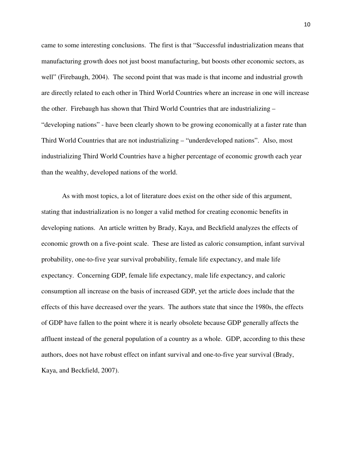came to some interesting conclusions. The first is that "Successful industrialization means that manufacturing growth does not just boost manufacturing, but boosts other economic sectors, as well" (Firebaugh, 2004). The second point that was made is that income and industrial growth are directly related to each other in Third World Countries where an increase in one will increase the other. Firebaugh has shown that Third World Countries that are industrializing – "developing nations" - have been clearly shown to be growing economically at a faster rate than Third World Countries that are not industrializing – "underdeveloped nations". Also, most industrializing Third World Countries have a higher percentage of economic growth each year than the wealthy, developed nations of the world.

As with most topics, a lot of literature does exist on the other side of this argument, stating that industrialization is no longer a valid method for creating economic benefits in developing nations. An article written by Brady, Kaya, and Beckfield analyzes the effects of economic growth on a five-point scale. These are listed as caloric consumption, infant survival probability, one-to-five year survival probability, female life expectancy, and male life expectancy. Concerning GDP, female life expectancy, male life expectancy, and caloric consumption all increase on the basis of increased GDP, yet the article does include that the effects of this have decreased over the years. The authors state that since the 1980s, the effects of GDP have fallen to the point where it is nearly obsolete because GDP generally affects the affluent instead of the general population of a country as a whole. GDP, according to this these authors, does not have robust effect on infant survival and one-to-five year survival (Brady, Kaya, and Beckfield, 2007).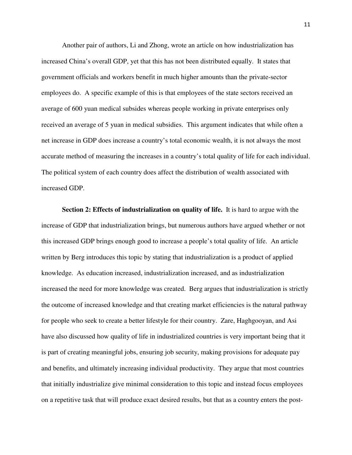Another pair of authors, Li and Zhong, wrote an article on how industrialization has increased China's overall GDP, yet that this has not been distributed equally. It states that government officials and workers benefit in much higher amounts than the private-sector employees do. A specific example of this is that employees of the state sectors received an average of 600 yuan medical subsides whereas people working in private enterprises only received an average of 5 yuan in medical subsidies. This argument indicates that while often a net increase in GDP does increase a country's total economic wealth, it is not always the most accurate method of measuring the increases in a country's total quality of life for each individual. The political system of each country does affect the distribution of wealth associated with increased GDP.

**Section 2: Effects of industrialization on quality of life.** It is hard to argue with the increase of GDP that industrialization brings, but numerous authors have argued whether or not this increased GDP brings enough good to increase a people's total quality of life. An article written by Berg introduces this topic by stating that industrialization is a product of applied knowledge. As education increased, industrialization increased, and as industrialization increased the need for more knowledge was created. Berg argues that industrialization is strictly the outcome of increased knowledge and that creating market efficiencies is the natural pathway for people who seek to create a better lifestyle for their country. Zare, Haghgooyan, and Asi have also discussed how quality of life in industrialized countries is very important being that it is part of creating meaningful jobs, ensuring job security, making provisions for adequate pay and benefits, and ultimately increasing individual productivity. They argue that most countries that initially industrialize give minimal consideration to this topic and instead focus employees on a repetitive task that will produce exact desired results, but that as a country enters the post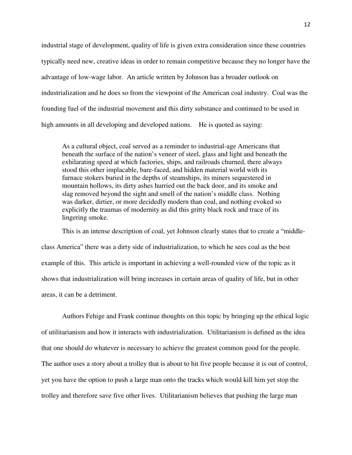industrial stage of development, quality of life is given extra consideration since these countries typically need new, creative ideas in order to remain competitive because they no longer have the advantage of low-wage labor. An article written by Johnson has a broader outlook on industrialization and he does so from the viewpoint of the American coal industry. Coal was the founding fuel of the industrial movement and this dirty substance and continued to be used in high amounts in all developing and developed nations. He is quoted as saying:

As a cultural object, coal served as a reminder to industrial-age Americans that beneath the surface of the nation's veneer of steel, glass and light and beneath the exhilarating speed at which factories, ships, and railroads churned, there always stood this other implacable, bare-faced, and hidden material world with its furnace stokers buried in the depths of steamships, its miners sequestered in mountain hollows, its dirty ashes hurried out the back door, and its smoke and slag removed beyond the sight and smell of the nation's middle class. Nothing was darker, dirtier, or more decidedly modern than coal, and nothing evoked so explicitly the traumas of modernity as did this gritty black rock and trace of its lingering smoke.

This is an intense description of coal, yet Johnson clearly states that to create a "middleclass America" there was a dirty side of industrialization, to which he sees coal as the best example of this. This article is important in achieving a well-rounded view of the topic as it shows that industrialization will bring increases in certain areas of quality of life, but in other areas, it can be a detriment.

Authors Fehige and Frank continue thoughts on this topic by bringing up the ethical logic of utilitarianism and how it interacts with industrialization. Utilitarianism is defined as the idea that one should do whatever is necessary to achieve the greatest common good for the people. The author uses a story about a trolley that is about to hit five people because it is out of control, yet you have the option to push a large man onto the tracks which would kill him yet stop the trolley and therefore save five other lives. Utilitarianism believes that pushing the large man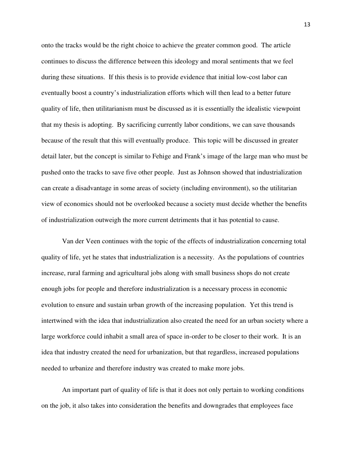onto the tracks would be the right choice to achieve the greater common good. The article continues to discuss the difference between this ideology and moral sentiments that we feel during these situations. If this thesis is to provide evidence that initial low-cost labor can eventually boost a country's industrialization efforts which will then lead to a better future quality of life, then utilitarianism must be discussed as it is essentially the idealistic viewpoint that my thesis is adopting. By sacrificing currently labor conditions, we can save thousands because of the result that this will eventually produce. This topic will be discussed in greater detail later, but the concept is similar to Fehige and Frank's image of the large man who must be pushed onto the tracks to save five other people. Just as Johnson showed that industrialization can create a disadvantage in some areas of society (including environment), so the utilitarian view of economics should not be overlooked because a society must decide whether the benefits of industrialization outweigh the more current detriments that it has potential to cause.

Van der Veen continues with the topic of the effects of industrialization concerning total quality of life, yet he states that industrialization is a necessity. As the populations of countries increase, rural farming and agricultural jobs along with small business shops do not create enough jobs for people and therefore industrialization is a necessary process in economic evolution to ensure and sustain urban growth of the increasing population. Yet this trend is intertwined with the idea that industrialization also created the need for an urban society where a large workforce could inhabit a small area of space in-order to be closer to their work. It is an idea that industry created the need for urbanization, but that regardless, increased populations needed to urbanize and therefore industry was created to make more jobs.

An important part of quality of life is that it does not only pertain to working conditions on the job, it also takes into consideration the benefits and downgrades that employees face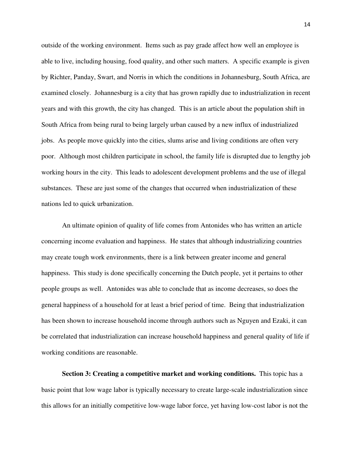outside of the working environment. Items such as pay grade affect how well an employee is able to live, including housing, food quality, and other such matters. A specific example is given by Richter, Panday, Swart, and Norris in which the conditions in Johannesburg, South Africa, are examined closely. Johannesburg is a city that has grown rapidly due to industrialization in recent years and with this growth, the city has changed. This is an article about the population shift in South Africa from being rural to being largely urban caused by a new influx of industrialized jobs. As people move quickly into the cities, slums arise and living conditions are often very poor. Although most children participate in school, the family life is disrupted due to lengthy job working hours in the city. This leads to adolescent development problems and the use of illegal substances. These are just some of the changes that occurred when industrialization of these nations led to quick urbanization.

An ultimate opinion of quality of life comes from Antonides who has written an article concerning income evaluation and happiness. He states that although industrializing countries may create tough work environments, there is a link between greater income and general happiness. This study is done specifically concerning the Dutch people, yet it pertains to other people groups as well. Antonides was able to conclude that as income decreases, so does the general happiness of a household for at least a brief period of time. Being that industrialization has been shown to increase household income through authors such as Nguyen and Ezaki, it can be correlated that industrialization can increase household happiness and general quality of life if working conditions are reasonable.

**Section 3: Creating a competitive market and working conditions.** This topic has a basic point that low wage labor is typically necessary to create large-scale industrialization since this allows for an initially competitive low-wage labor force, yet having low-cost labor is not the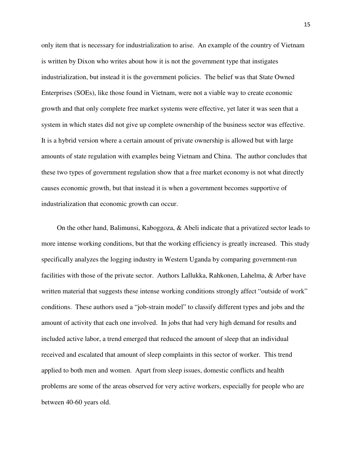only item that is necessary for industrialization to arise. An example of the country of Vietnam is written by Dixon who writes about how it is not the government type that instigates industrialization, but instead it is the government policies. The belief was that State Owned Enterprises (SOEs), like those found in Vietnam, were not a viable way to create economic growth and that only complete free market systems were effective, yet later it was seen that a system in which states did not give up complete ownership of the business sector was effective. It is a hybrid version where a certain amount of private ownership is allowed but with large amounts of state regulation with examples being Vietnam and China. The author concludes that these two types of government regulation show that a free market economy is not what directly causes economic growth, but that instead it is when a government becomes supportive of industrialization that economic growth can occur.

On the other hand, Balimunsi, Kaboggoza, & Abeli indicate that a privatized sector leads to more intense working conditions, but that the working efficiency is greatly increased. This study specifically analyzes the logging industry in Western Uganda by comparing government-run facilities with those of the private sector. Authors Lallukka, Rahkonen, Lahelma, & Arber have written material that suggests these intense working conditions strongly affect "outside of work" conditions. These authors used a "job-strain model" to classify different types and jobs and the amount of activity that each one involved. In jobs that had very high demand for results and included active labor, a trend emerged that reduced the amount of sleep that an individual received and escalated that amount of sleep complaints in this sector of worker. This trend applied to both men and women. Apart from sleep issues, domestic conflicts and health problems are some of the areas observed for very active workers, especially for people who are between 40-60 years old.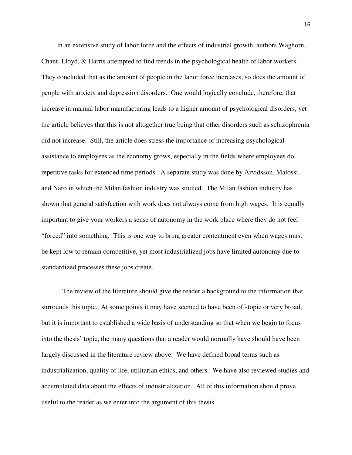In an extensive study of labor force and the effects of industrial growth, authors Waghorn, Chant, Lloyd, & Harris attempted to find trends in the psychological health of labor workers. They concluded that as the amount of people in the labor force increases, so does the amount of people with anxiety and depression disorders. One would logically conclude, therefore, that increase in manual labor manufacturing leads to a higher amount of psychological disorders, yet the article believes that this is not altogether true being that other disorders such as schizophrenia did not increase. Still, the article does stress the importance of increasing psychological assistance to employees as the economy grows, especially in the fields where employees do repetitive tasks for extended time periods. A separate study was done by Arvidsson, Malossi, and Naro in which the Milan fashion industry was studied. The Milan fashion industry has shown that general satisfaction with work does not always come from high wages. It is equally important to give your workers a sense of autonomy in the work place where they do not feel "forced" into something. This is one way to bring greater contentment even when wages must be kept low to remain competitive, yet most industrialized jobs have limited autonomy due to standardized processes these jobs create.

 The review of the literature should give the reader a background to the information that surrounds this topic. At some points it may have seemed to have been off-topic or very broad, but it is important to established a wide basis of understanding so that when we begin to focus into the thesis' topic, the many questions that a reader would normally have should have been largely discussed in the literature review above. We have defined broad terms such as industrialization, quality of life, utilitarian ethics, and others. We have also reviewed studies and accumulated data about the effects of industrialization. All of this information should prove useful to the reader as we enter into the argument of this thesis.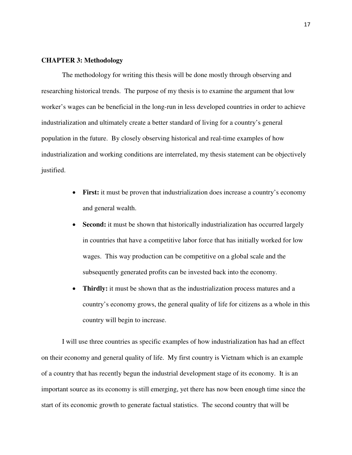#### **CHAPTER 3: Methodology**

The methodology for writing this thesis will be done mostly through observing and researching historical trends. The purpose of my thesis is to examine the argument that low worker's wages can be beneficial in the long-run in less developed countries in order to achieve industrialization and ultimately create a better standard of living for a country's general population in the future. By closely observing historical and real-time examples of how industrialization and working conditions are interrelated, my thesis statement can be objectively justified.

- **First:** it must be proven that industrialization does increase a country's economy and general wealth.
- **Second:** it must be shown that historically industrialization has occurred largely in countries that have a competitive labor force that has initially worked for low wages. This way production can be competitive on a global scale and the subsequently generated profits can be invested back into the economy.
- **Thirdly:** it must be shown that as the industrialization process matures and a country's economy grows, the general quality of life for citizens as a whole in this country will begin to increase.

I will use three countries as specific examples of how industrialization has had an effect on their economy and general quality of life. My first country is Vietnam which is an example of a country that has recently begun the industrial development stage of its economy. It is an important source as its economy is still emerging, yet there has now been enough time since the start of its economic growth to generate factual statistics. The second country that will be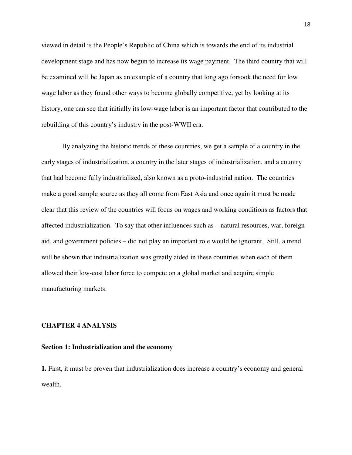viewed in detail is the People's Republic of China which is towards the end of its industrial development stage and has now begun to increase its wage payment. The third country that will be examined will be Japan as an example of a country that long ago forsook the need for low wage labor as they found other ways to become globally competitive, yet by looking at its history, one can see that initially its low-wage labor is an important factor that contributed to the rebuilding of this country's industry in the post-WWII era.

By analyzing the historic trends of these countries, we get a sample of a country in the early stages of industrialization, a country in the later stages of industrialization, and a country that had become fully industrialized, also known as a proto-industrial nation. The countries make a good sample source as they all come from East Asia and once again it must be made clear that this review of the countries will focus on wages and working conditions as factors that affected industrialization. To say that other influences such as – natural resources, war, foreign aid, and government policies – did not play an important role would be ignorant. Still, a trend will be shown that industrialization was greatly aided in these countries when each of them allowed their low-cost labor force to compete on a global market and acquire simple manufacturing markets.

#### **CHAPTER 4 ANALYSIS**

#### **Section 1: Industrialization and the economy**

**1.** First, it must be proven that industrialization does increase a country's economy and general wealth.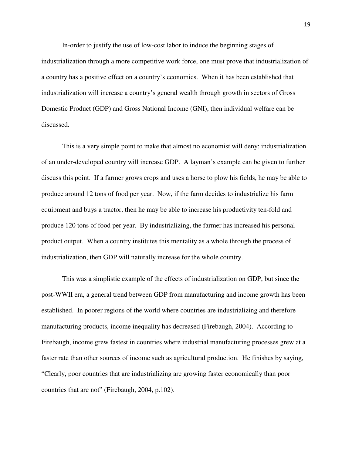In-order to justify the use of low-cost labor to induce the beginning stages of industrialization through a more competitive work force, one must prove that industrialization of a country has a positive effect on a country's economics. When it has been established that industrialization will increase a country's general wealth through growth in sectors of Gross Domestic Product (GDP) and Gross National Income (GNI), then individual welfare can be discussed.

This is a very simple point to make that almost no economist will deny: industrialization of an under-developed country will increase GDP. A layman's example can be given to further discuss this point. If a farmer grows crops and uses a horse to plow his fields, he may be able to produce around 12 tons of food per year. Now, if the farm decides to industrialize his farm equipment and buys a tractor, then he may be able to increase his productivity ten-fold and produce 120 tons of food per year. By industrializing, the farmer has increased his personal product output. When a country institutes this mentality as a whole through the process of industrialization, then GDP will naturally increase for the whole country.

This was a simplistic example of the effects of industrialization on GDP, but since the post-WWII era, a general trend between GDP from manufacturing and income growth has been established. In poorer regions of the world where countries are industrializing and therefore manufacturing products, income inequality has decreased (Firebaugh, 2004). According to Firebaugh, income grew fastest in countries where industrial manufacturing processes grew at a faster rate than other sources of income such as agricultural production. He finishes by saying, "Clearly, poor countries that are industrializing are growing faster economically than poor countries that are not" (Firebaugh, 2004, p.102).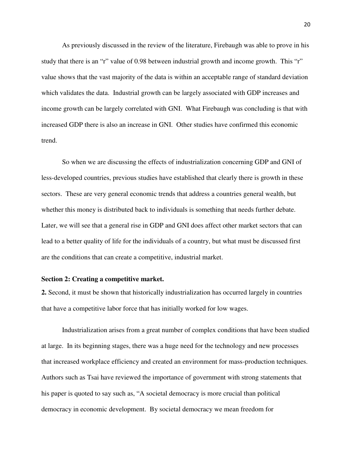As previously discussed in the review of the literature, Firebaugh was able to prove in his study that there is an "r" value of 0.98 between industrial growth and income growth. This "r" value shows that the vast majority of the data is within an acceptable range of standard deviation which validates the data. Industrial growth can be largely associated with GDP increases and income growth can be largely correlated with GNI. What Firebaugh was concluding is that with increased GDP there is also an increase in GNI. Other studies have confirmed this economic trend.

So when we are discussing the effects of industrialization concerning GDP and GNI of less-developed countries, previous studies have established that clearly there is growth in these sectors. These are very general economic trends that address a countries general wealth, but whether this money is distributed back to individuals is something that needs further debate. Later, we will see that a general rise in GDP and GNI does affect other market sectors that can lead to a better quality of life for the individuals of a country, but what must be discussed first are the conditions that can create a competitive, industrial market.

#### **Section 2: Creating a competitive market.**

**2.** Second, it must be shown that historically industrialization has occurred largely in countries that have a competitive labor force that has initially worked for low wages.

Industrialization arises from a great number of complex conditions that have been studied at large. In its beginning stages, there was a huge need for the technology and new processes that increased workplace efficiency and created an environment for mass-production techniques. Authors such as Tsai have reviewed the importance of government with strong statements that his paper is quoted to say such as, "A societal democracy is more crucial than political democracy in economic development. By societal democracy we mean freedom for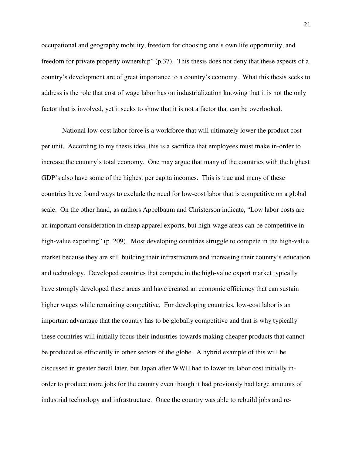occupational and geography mobility, freedom for choosing one's own life opportunity, and freedom for private property ownership" (p.37). This thesis does not deny that these aspects of a country's development are of great importance to a country's economy. What this thesis seeks to address is the role that cost of wage labor has on industrialization knowing that it is not the only factor that is involved, yet it seeks to show that it is not a factor that can be overlooked.

National low-cost labor force is a workforce that will ultimately lower the product cost per unit. According to my thesis idea, this is a sacrifice that employees must make in-order to increase the country's total economy. One may argue that many of the countries with the highest GDP's also have some of the highest per capita incomes. This is true and many of these countries have found ways to exclude the need for low-cost labor that is competitive on a global scale. On the other hand, as authors Appelbaum and Christerson indicate, "Low labor costs are an important consideration in cheap apparel exports, but high-wage areas can be competitive in high-value exporting" (p. 209). Most developing countries struggle to compete in the high-value market because they are still building their infrastructure and increasing their country's education and technology. Developed countries that compete in the high-value export market typically have strongly developed these areas and have created an economic efficiency that can sustain higher wages while remaining competitive. For developing countries, low-cost labor is an important advantage that the country has to be globally competitive and that is why typically these countries will initially focus their industries towards making cheaper products that cannot be produced as efficiently in other sectors of the globe. A hybrid example of this will be discussed in greater detail later, but Japan after WWII had to lower its labor cost initially inorder to produce more jobs for the country even though it had previously had large amounts of industrial technology and infrastructure. Once the country was able to rebuild jobs and re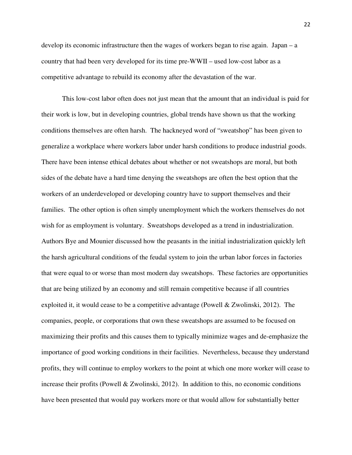develop its economic infrastructure then the wages of workers began to rise again. Japan – a country that had been very developed for its time pre-WWII – used low-cost labor as a competitive advantage to rebuild its economy after the devastation of the war.

 This low-cost labor often does not just mean that the amount that an individual is paid for their work is low, but in developing countries, global trends have shown us that the working conditions themselves are often harsh. The hackneyed word of "sweatshop" has been given to generalize a workplace where workers labor under harsh conditions to produce industrial goods. There have been intense ethical debates about whether or not sweatshops are moral, but both sides of the debate have a hard time denying the sweatshops are often the best option that the workers of an underdeveloped or developing country have to support themselves and their families. The other option is often simply unemployment which the workers themselves do not wish for as employment is voluntary. Sweatshops developed as a trend in industrialization. Authors Bye and Mounier discussed how the peasants in the initial industrialization quickly left the harsh agricultural conditions of the feudal system to join the urban labor forces in factories that were equal to or worse than most modern day sweatshops. These factories are opportunities that are being utilized by an economy and still remain competitive because if all countries exploited it, it would cease to be a competitive advantage (Powell & Zwolinski, 2012). The companies, people, or corporations that own these sweatshops are assumed to be focused on maximizing their profits and this causes them to typically minimize wages and de-emphasize the importance of good working conditions in their facilities. Nevertheless, because they understand profits, they will continue to employ workers to the point at which one more worker will cease to increase their profits (Powell & Zwolinski, 2012). In addition to this, no economic conditions have been presented that would pay workers more or that would allow for substantially better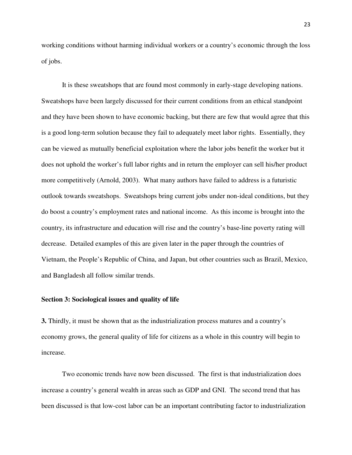working conditions without harming individual workers or a country's economic through the loss of jobs.

It is these sweatshops that are found most commonly in early-stage developing nations. Sweatshops have been largely discussed for their current conditions from an ethical standpoint and they have been shown to have economic backing, but there are few that would agree that this is a good long-term solution because they fail to adequately meet labor rights. Essentially, they can be viewed as mutually beneficial exploitation where the labor jobs benefit the worker but it does not uphold the worker's full labor rights and in return the employer can sell his/her product more competitively (Arnold, 2003). What many authors have failed to address is a futuristic outlook towards sweatshops. Sweatshops bring current jobs under non-ideal conditions, but they do boost a country's employment rates and national income. As this income is brought into the country, its infrastructure and education will rise and the country's base-line poverty rating will decrease. Detailed examples of this are given later in the paper through the countries of Vietnam, the People's Republic of China, and Japan, but other countries such as Brazil, Mexico, and Bangladesh all follow similar trends.

#### **Section 3: Sociological issues and quality of life**

**3.** Thirdly, it must be shown that as the industrialization process matures and a country's economy grows, the general quality of life for citizens as a whole in this country will begin to increase.

Two economic trends have now been discussed. The first is that industrialization does increase a country's general wealth in areas such as GDP and GNI. The second trend that has been discussed is that low-cost labor can be an important contributing factor to industrialization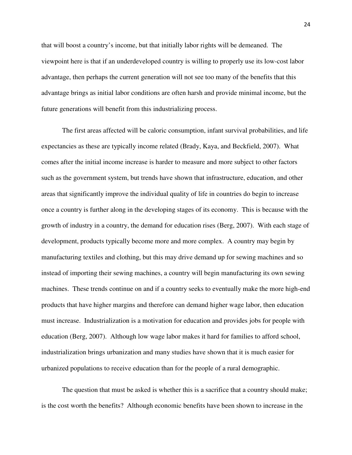that will boost a country's income, but that initially labor rights will be demeaned. The viewpoint here is that if an underdeveloped country is willing to properly use its low-cost labor advantage, then perhaps the current generation will not see too many of the benefits that this advantage brings as initial labor conditions are often harsh and provide minimal income, but the future generations will benefit from this industrializing process.

The first areas affected will be caloric consumption, infant survival probabilities, and life expectancies as these are typically income related (Brady, Kaya, and Beckfield, 2007). What comes after the initial income increase is harder to measure and more subject to other factors such as the government system, but trends have shown that infrastructure, education, and other areas that significantly improve the individual quality of life in countries do begin to increase once a country is further along in the developing stages of its economy. This is because with the growth of industry in a country, the demand for education rises (Berg, 2007). With each stage of development, products typically become more and more complex. A country may begin by manufacturing textiles and clothing, but this may drive demand up for sewing machines and so instead of importing their sewing machines, a country will begin manufacturing its own sewing machines. These trends continue on and if a country seeks to eventually make the more high-end products that have higher margins and therefore can demand higher wage labor, then education must increase. Industrialization is a motivation for education and provides jobs for people with education (Berg, 2007). Although low wage labor makes it hard for families to afford school, industrialization brings urbanization and many studies have shown that it is much easier for urbanized populations to receive education than for the people of a rural demographic.

The question that must be asked is whether this is a sacrifice that a country should make; is the cost worth the benefits? Although economic benefits have been shown to increase in the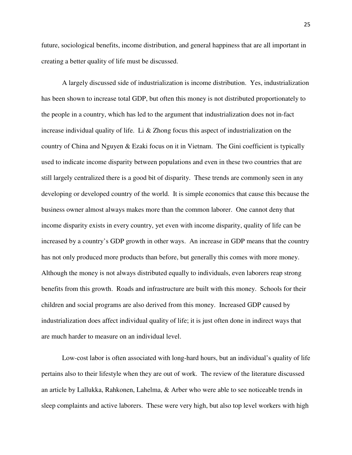future, sociological benefits, income distribution, and general happiness that are all important in creating a better quality of life must be discussed.

A largely discussed side of industrialization is income distribution. Yes, industrialization has been shown to increase total GDP, but often this money is not distributed proportionately to the people in a country, which has led to the argument that industrialization does not in-fact increase individual quality of life. Li  $\&$  Zhong focus this aspect of industrialization on the country of China and Nguyen & Ezaki focus on it in Vietnam. The Gini coefficient is typically used to indicate income disparity between populations and even in these two countries that are still largely centralized there is a good bit of disparity. These trends are commonly seen in any developing or developed country of the world. It is simple economics that cause this because the business owner almost always makes more than the common laborer. One cannot deny that income disparity exists in every country, yet even with income disparity, quality of life can be increased by a country's GDP growth in other ways. An increase in GDP means that the country has not only produced more products than before, but generally this comes with more money. Although the money is not always distributed equally to individuals, even laborers reap strong benefits from this growth. Roads and infrastructure are built with this money. Schools for their children and social programs are also derived from this money. Increased GDP caused by industrialization does affect individual quality of life; it is just often done in indirect ways that are much harder to measure on an individual level.

Low-cost labor is often associated with long-hard hours, but an individual's quality of life pertains also to their lifestyle when they are out of work. The review of the literature discussed an article by Lallukka, Rahkonen, Lahelma, & Arber who were able to see noticeable trends in sleep complaints and active laborers. These were very high, but also top level workers with high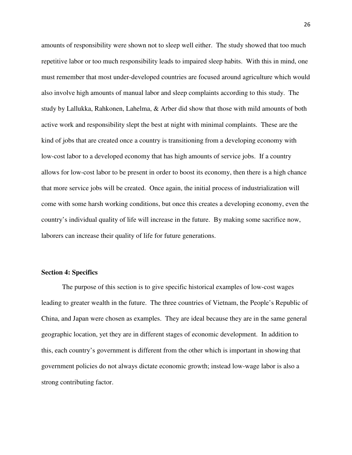amounts of responsibility were shown not to sleep well either. The study showed that too much repetitive labor or too much responsibility leads to impaired sleep habits. With this in mind, one must remember that most under-developed countries are focused around agriculture which would also involve high amounts of manual labor and sleep complaints according to this study. The study by Lallukka, Rahkonen, Lahelma, & Arber did show that those with mild amounts of both active work and responsibility slept the best at night with minimal complaints. These are the kind of jobs that are created once a country is transitioning from a developing economy with low-cost labor to a developed economy that has high amounts of service jobs. If a country allows for low-cost labor to be present in order to boost its economy, then there is a high chance that more service jobs will be created. Once again, the initial process of industrialization will come with some harsh working conditions, but once this creates a developing economy, even the country's individual quality of life will increase in the future. By making some sacrifice now, laborers can increase their quality of life for future generations.

#### **Section 4: Specifics**

The purpose of this section is to give specific historical examples of low-cost wages leading to greater wealth in the future. The three countries of Vietnam, the People's Republic of China, and Japan were chosen as examples. They are ideal because they are in the same general geographic location, yet they are in different stages of economic development. In addition to this, each country's government is different from the other which is important in showing that government policies do not always dictate economic growth; instead low-wage labor is also a strong contributing factor.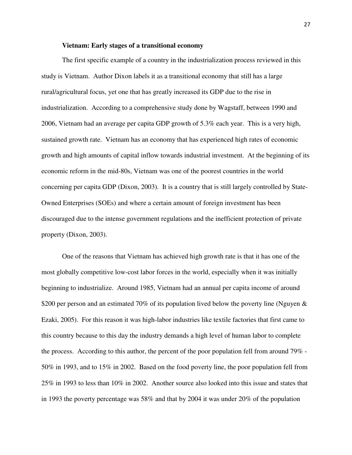#### **Vietnam: Early stages of a transitional economy**

The first specific example of a country in the industrialization process reviewed in this study is Vietnam. Author Dixon labels it as a transitional economy that still has a large rural/agricultural focus, yet one that has greatly increased its GDP due to the rise in industrialization. According to a comprehensive study done by Wagstaff, between 1990 and 2006, Vietnam had an average per capita GDP growth of 5.3% each year. This is a very high, sustained growth rate. Vietnam has an economy that has experienced high rates of economic growth and high amounts of capital inflow towards industrial investment. At the beginning of its economic reform in the mid-80s, Vietnam was one of the poorest countries in the world concerning per capita GDP (Dixon, 2003). It is a country that is still largely controlled by State-Owned Enterprises (SOEs) and where a certain amount of foreign investment has been discouraged due to the intense government regulations and the inefficient protection of private property (Dixon, 2003).

One of the reasons that Vietnam has achieved high growth rate is that it has one of the most globally competitive low-cost labor forces in the world, especially when it was initially beginning to industrialize. Around 1985, Vietnam had an annual per capita income of around \$200 per person and an estimated 70% of its population lived below the poverty line (Nguyen & Ezaki, 2005). For this reason it was high-labor industries like textile factories that first came to this country because to this day the industry demands a high level of human labor to complete the process. According to this author, the percent of the poor population fell from around 79% - 50% in 1993, and to 15% in 2002. Based on the food poverty line, the poor population fell from 25% in 1993 to less than 10% in 2002. Another source also looked into this issue and states that in 1993 the poverty percentage was 58% and that by 2004 it was under 20% of the population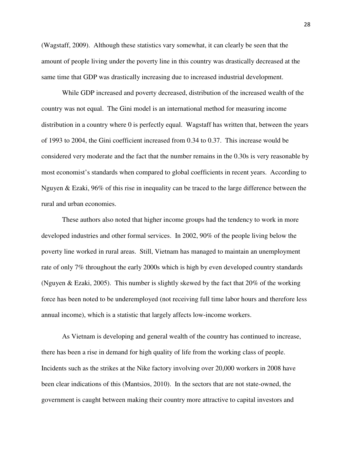(Wagstaff, 2009). Although these statistics vary somewhat, it can clearly be seen that the amount of people living under the poverty line in this country was drastically decreased at the same time that GDP was drastically increasing due to increased industrial development.

While GDP increased and poverty decreased, distribution of the increased wealth of the country was not equal. The Gini model is an international method for measuring income distribution in a country where 0 is perfectly equal. Wagstaff has written that, between the years of 1993 to 2004, the Gini coefficient increased from 0.34 to 0.37. This increase would be considered very moderate and the fact that the number remains in the 0.30s is very reasonable by most economist's standards when compared to global coefficients in recent years. According to Nguyen & Ezaki, 96% of this rise in inequality can be traced to the large difference between the rural and urban economies.

These authors also noted that higher income groups had the tendency to work in more developed industries and other formal services. In 2002, 90% of the people living below the poverty line worked in rural areas. Still, Vietnam has managed to maintain an unemployment rate of only 7% throughout the early 2000s which is high by even developed country standards (Nguyen & Ezaki, 2005). This number is slightly skewed by the fact that 20% of the working force has been noted to be underemployed (not receiving full time labor hours and therefore less annual income), which is a statistic that largely affects low-income workers.

As Vietnam is developing and general wealth of the country has continued to increase, there has been a rise in demand for high quality of life from the working class of people. Incidents such as the strikes at the Nike factory involving over 20,000 workers in 2008 have been clear indications of this (Mantsios, 2010). In the sectors that are not state-owned, the government is caught between making their country more attractive to capital investors and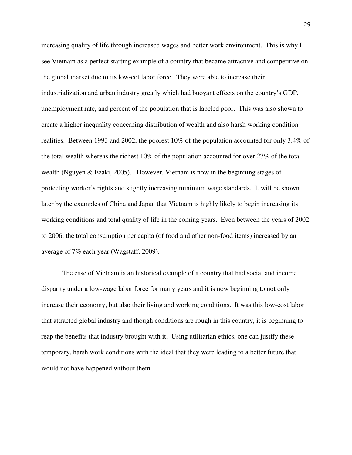increasing quality of life through increased wages and better work environment. This is why I see Vietnam as a perfect starting example of a country that became attractive and competitive on the global market due to its low-cot labor force. They were able to increase their industrialization and urban industry greatly which had buoyant effects on the country's GDP, unemployment rate, and percent of the population that is labeled poor. This was also shown to create a higher inequality concerning distribution of wealth and also harsh working condition realities. Between 1993 and 2002, the poorest 10% of the population accounted for only 3.4% of the total wealth whereas the richest 10% of the population accounted for over 27% of the total wealth (Nguyen & Ezaki, 2005). However, Vietnam is now in the beginning stages of protecting worker's rights and slightly increasing minimum wage standards. It will be shown later by the examples of China and Japan that Vietnam is highly likely to begin increasing its working conditions and total quality of life in the coming years. Even between the years of 2002 to 2006, the total consumption per capita (of food and other non-food items) increased by an average of 7% each year (Wagstaff, 2009).

The case of Vietnam is an historical example of a country that had social and income disparity under a low-wage labor force for many years and it is now beginning to not only increase their economy, but also their living and working conditions. It was this low-cost labor that attracted global industry and though conditions are rough in this country, it is beginning to reap the benefits that industry brought with it. Using utilitarian ethics, one can justify these temporary, harsh work conditions with the ideal that they were leading to a better future that would not have happened without them.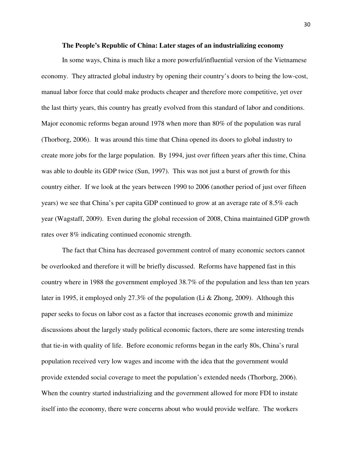#### **The People's Republic of China: Later stages of an industrializing economy**

 In some ways, China is much like a more powerful/influential version of the Vietnamese economy. They attracted global industry by opening their country's doors to being the low-cost, manual labor force that could make products cheaper and therefore more competitive, yet over the last thirty years, this country has greatly evolved from this standard of labor and conditions. Major economic reforms began around 1978 when more than 80% of the population was rural (Thorborg, 2006). It was around this time that China opened its doors to global industry to create more jobs for the large population. By 1994, just over fifteen years after this time, China was able to double its GDP twice (Sun, 1997). This was not just a burst of growth for this country either. If we look at the years between 1990 to 2006 (another period of just over fifteen years) we see that China's per capita GDP continued to grow at an average rate of 8.5% each year (Wagstaff, 2009). Even during the global recession of 2008, China maintained GDP growth rates over 8% indicating continued economic strength.

The fact that China has decreased government control of many economic sectors cannot be overlooked and therefore it will be briefly discussed. Reforms have happened fast in this country where in 1988 the government employed 38.7% of the population and less than ten years later in 1995, it employed only 27.3% of the population (Li & Zhong, 2009). Although this paper seeks to focus on labor cost as a factor that increases economic growth and minimize discussions about the largely study political economic factors, there are some interesting trends that tie-in with quality of life. Before economic reforms began in the early 80s, China's rural population received very low wages and income with the idea that the government would provide extended social coverage to meet the population's extended needs (Thorborg, 2006). When the country started industrializing and the government allowed for more FDI to instate itself into the economy, there were concerns about who would provide welfare. The workers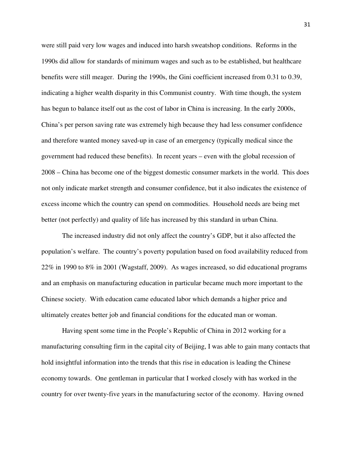were still paid very low wages and induced into harsh sweatshop conditions. Reforms in the 1990s did allow for standards of minimum wages and such as to be established, but healthcare benefits were still meager. During the 1990s, the Gini coefficient increased from 0.31 to 0.39, indicating a higher wealth disparity in this Communist country. With time though, the system has begun to balance itself out as the cost of labor in China is increasing. In the early 2000s, China's per person saving rate was extremely high because they had less consumer confidence and therefore wanted money saved-up in case of an emergency (typically medical since the government had reduced these benefits). In recent years – even with the global recession of 2008 – China has become one of the biggest domestic consumer markets in the world. This does not only indicate market strength and consumer confidence, but it also indicates the existence of excess income which the country can spend on commodities. Household needs are being met better (not perfectly) and quality of life has increased by this standard in urban China.

 The increased industry did not only affect the country's GDP, but it also affected the population's welfare. The country's poverty population based on food availability reduced from 22% in 1990 to 8% in 2001 (Wagstaff, 2009). As wages increased, so did educational programs and an emphasis on manufacturing education in particular became much more important to the Chinese society. With education came educated labor which demands a higher price and ultimately creates better job and financial conditions for the educated man or woman.

Having spent some time in the People's Republic of China in 2012 working for a manufacturing consulting firm in the capital city of Beijing, I was able to gain many contacts that hold insightful information into the trends that this rise in education is leading the Chinese economy towards. One gentleman in particular that I worked closely with has worked in the country for over twenty-five years in the manufacturing sector of the economy. Having owned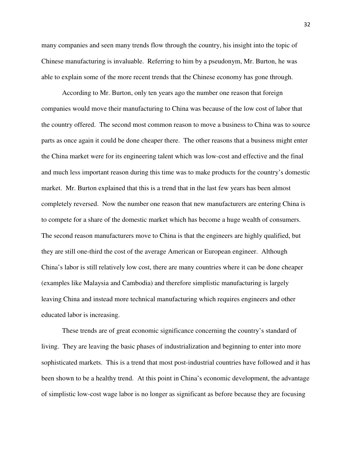many companies and seen many trends flow through the country, his insight into the topic of Chinese manufacturing is invaluable. Referring to him by a pseudonym, Mr. Burton, he was able to explain some of the more recent trends that the Chinese economy has gone through.

According to Mr. Burton, only ten years ago the number one reason that foreign companies would move their manufacturing to China was because of the low cost of labor that the country offered. The second most common reason to move a business to China was to source parts as once again it could be done cheaper there. The other reasons that a business might enter the China market were for its engineering talent which was low-cost and effective and the final and much less important reason during this time was to make products for the country's domestic market. Mr. Burton explained that this is a trend that in the last few years has been almost completely reversed. Now the number one reason that new manufacturers are entering China is to compete for a share of the domestic market which has become a huge wealth of consumers. The second reason manufacturers move to China is that the engineers are highly qualified, but they are still one-third the cost of the average American or European engineer. Although China's labor is still relatively low cost, there are many countries where it can be done cheaper (examples like Malaysia and Cambodia) and therefore simplistic manufacturing is largely leaving China and instead more technical manufacturing which requires engineers and other educated labor is increasing.

These trends are of great economic significance concerning the country's standard of living. They are leaving the basic phases of industrialization and beginning to enter into more sophisticated markets. This is a trend that most post-industrial countries have followed and it has been shown to be a healthy trend. At this point in China's economic development, the advantage of simplistic low-cost wage labor is no longer as significant as before because they are focusing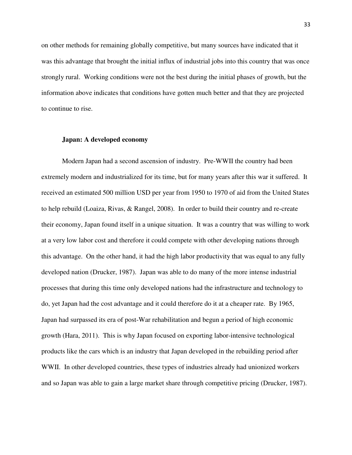on other methods for remaining globally competitive, but many sources have indicated that it was this advantage that brought the initial influx of industrial jobs into this country that was once strongly rural. Working conditions were not the best during the initial phases of growth, but the information above indicates that conditions have gotten much better and that they are projected to continue to rise.

#### **Japan: A developed economy**

Modern Japan had a second ascension of industry. Pre-WWII the country had been extremely modern and industrialized for its time, but for many years after this war it suffered. It received an estimated 500 million USD per year from 1950 to 1970 of aid from the United States to help rebuild (Loaiza, Rivas, & Rangel, 2008). In order to build their country and re-create their economy, Japan found itself in a unique situation. It was a country that was willing to work at a very low labor cost and therefore it could compete with other developing nations through this advantage. On the other hand, it had the high labor productivity that was equal to any fully developed nation (Drucker, 1987). Japan was able to do many of the more intense industrial processes that during this time only developed nations had the infrastructure and technology to do, yet Japan had the cost advantage and it could therefore do it at a cheaper rate. By 1965, Japan had surpassed its era of post-War rehabilitation and begun a period of high economic growth (Hara, 2011). This is why Japan focused on exporting labor-intensive technological products like the cars which is an industry that Japan developed in the rebuilding period after WWII. In other developed countries, these types of industries already had unionized workers and so Japan was able to gain a large market share through competitive pricing (Drucker, 1987).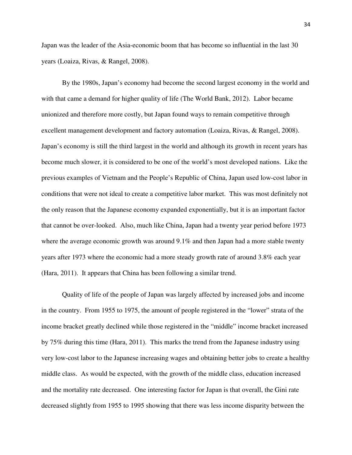Japan was the leader of the Asia-economic boom that has become so influential in the last 30 years (Loaiza, Rivas, & Rangel, 2008).

By the 1980s, Japan's economy had become the second largest economy in the world and with that came a demand for higher quality of life (The World Bank, 2012). Labor became unionized and therefore more costly, but Japan found ways to remain competitive through excellent management development and factory automation (Loaiza, Rivas, & Rangel, 2008). Japan's economy is still the third largest in the world and although its growth in recent years has become much slower, it is considered to be one of the world's most developed nations. Like the previous examples of Vietnam and the People's Republic of China, Japan used low-cost labor in conditions that were not ideal to create a competitive labor market. This was most definitely not the only reason that the Japanese economy expanded exponentially, but it is an important factor that cannot be over-looked. Also, much like China, Japan had a twenty year period before 1973 where the average economic growth was around 9.1% and then Japan had a more stable twenty years after 1973 where the economic had a more steady growth rate of around 3.8% each year (Hara, 2011). It appears that China has been following a similar trend.

Quality of life of the people of Japan was largely affected by increased jobs and income in the country. From 1955 to 1975, the amount of people registered in the "lower" strata of the income bracket greatly declined while those registered in the "middle" income bracket increased by 75% during this time (Hara, 2011). This marks the trend from the Japanese industry using very low-cost labor to the Japanese increasing wages and obtaining better jobs to create a healthy middle class. As would be expected, with the growth of the middle class, education increased and the mortality rate decreased. One interesting factor for Japan is that overall, the Gini rate decreased slightly from 1955 to 1995 showing that there was less income disparity between the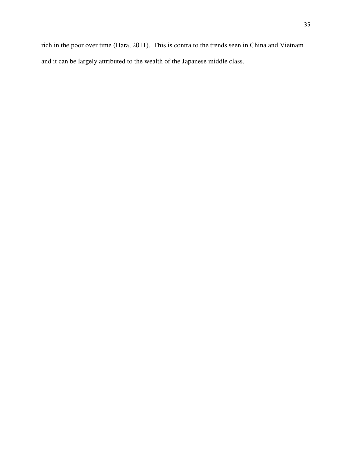rich in the poor over time (Hara, 2011). This is contra to the trends seen in China and Vietnam and it can be largely attributed to the wealth of the Japanese middle class.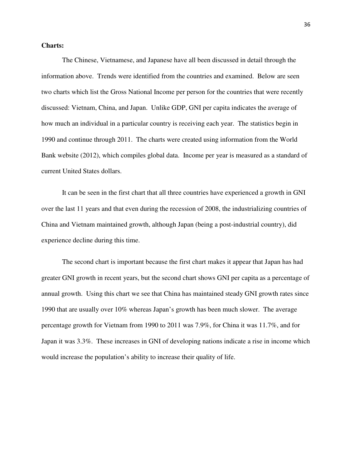#### **Charts:**

The Chinese, Vietnamese, and Japanese have all been discussed in detail through the information above. Trends were identified from the countries and examined. Below are seen two charts which list the Gross National Income per person for the countries that were recently discussed: Vietnam, China, and Japan. Unlike GDP, GNI per capita indicates the average of how much an individual in a particular country is receiving each year. The statistics begin in 1990 and continue through 2011. The charts were created using information from the World Bank website (2012), which compiles global data. Income per year is measured as a standard of current United States dollars.

It can be seen in the first chart that all three countries have experienced a growth in GNI over the last 11 years and that even during the recession of 2008, the industrializing countries of China and Vietnam maintained growth, although Japan (being a post-industrial country), did experience decline during this time.

The second chart is important because the first chart makes it appear that Japan has had greater GNI growth in recent years, but the second chart shows GNI per capita as a percentage of annual growth. Using this chart we see that China has maintained steady GNI growth rates since 1990 that are usually over 10% whereas Japan's growth has been much slower. The average percentage growth for Vietnam from 1990 to 2011 was 7.9%, for China it was 11.7%, and for Japan it was 3.3%. These increases in GNI of developing nations indicate a rise in income which would increase the population's ability to increase their quality of life.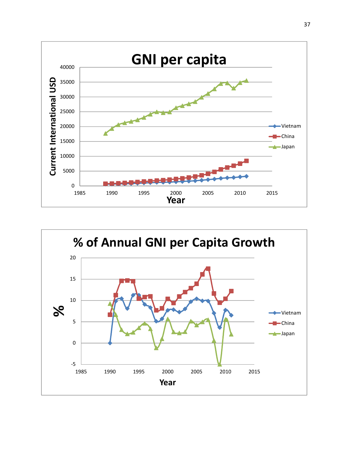

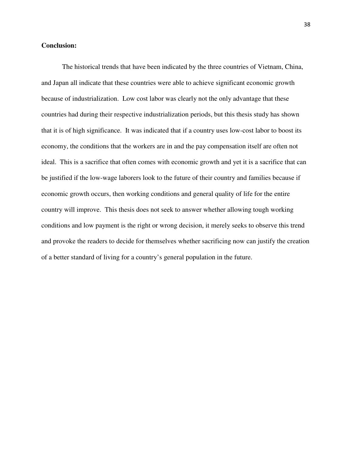#### **Conclusion:**

 The historical trends that have been indicated by the three countries of Vietnam, China, and Japan all indicate that these countries were able to achieve significant economic growth because of industrialization. Low cost labor was clearly not the only advantage that these countries had during their respective industrialization periods, but this thesis study has shown that it is of high significance. It was indicated that if a country uses low-cost labor to boost its economy, the conditions that the workers are in and the pay compensation itself are often not ideal. This is a sacrifice that often comes with economic growth and yet it is a sacrifice that can be justified if the low-wage laborers look to the future of their country and families because if economic growth occurs, then working conditions and general quality of life for the entire country will improve. This thesis does not seek to answer whether allowing tough working conditions and low payment is the right or wrong decision, it merely seeks to observe this trend and provoke the readers to decide for themselves whether sacrificing now can justify the creation of a better standard of living for a country's general population in the future.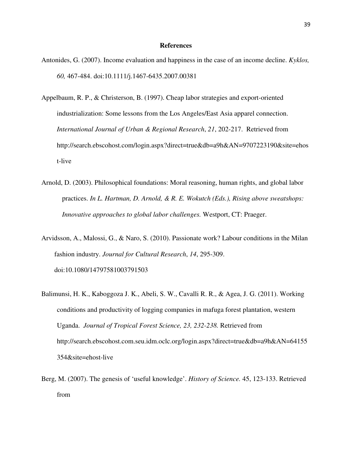#### **References**

- Antonides, G. (2007). Income evaluation and happiness in the case of an income decline. *Kyklos, 60,* 467-484. doi:10.1111/j.1467-6435.2007.00381
- Appelbaum, R. P., & Christerson, B. (1997). Cheap labor strategies and export-oriented industrialization: Some lessons from the Los Angeles/East Asia apparel connection. *International Journal of Urban & Regional Research*, *21*, 202-217. Retrieved from http://search.ebscohost.com/login.aspx?direct=true&db=a9h&AN=9707223190&site=ehos t-live
- Arnold, D. (2003). Philosophical foundations: Moral reasoning, human rights, and global labor practices. *In L. Hartman, D. Arnold, & R. E. Wokutch (Eds.), Rising above sweatshops: Innovative approaches to global labor challenges.* Westport, CT: Praeger.
- Arvidsson, A., Malossi, G., & Naro, S. (2010). Passionate work? Labour conditions in the Milan fashion industry. *Journal for Cultural Research*, *14*, 295-309. doi:10.1080/14797581003791503
- Balimunsi, H. K., Kaboggoza J. K., Abeli, S. W., Cavalli R. R., & Agea, J. G. (2011). Working conditions and productivity of logging companies in mafuga forest plantation, western Uganda. *Journal of Tropical Forest Science, 23, 232-238.* Retrieved from http://search.ebscohost.com.seu.idm.oclc.org/login.aspx?direct=true&db=a9h&AN=64155 354&site=ehost-live
- Berg, M. (2007). The genesis of 'useful knowledge'. *History of Science.* 45, 123-133. Retrieved from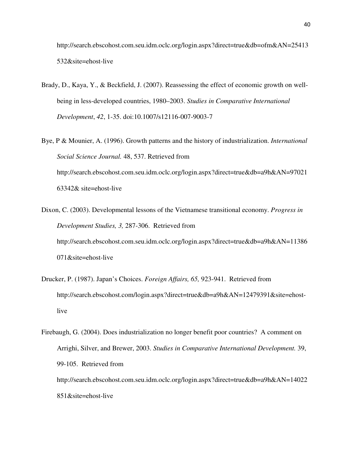http://search.ebscohost.com.seu.idm.oclc.org/login.aspx?direct=true&db=ofm&AN=25413 532&site=ehost-live

- Brady, D., Kaya, Y., & Beckfield, J. (2007). Reassessing the effect of economic growth on wellbeing in less-developed countries, 1980–2003. *Studies in Comparative International Development*, *42*, 1-35. doi:10.1007/s12116-007-9003-7
- Bye, P & Mounier, A. (1996). Growth patterns and the history of industrialization. *International Social Science Journal.* 48, 537. Retrieved from http://search.ebscohost.com.seu.idm.oclc.org/login.aspx?direct=true&db=a9h&AN=97021 63342& site=ehost-live
- Dixon, C. (2003). Developmental lessons of the Vietnamese transitional economy. *Progress in Development Studies, 3,* 287-306. Retrieved from http://search.ebscohost.com.seu.idm.oclc.org/login.aspx?direct=true&db=a9h&AN=11386 071&site=ehost-live
- Drucker, P. (1987). Japan's Choices. *Foreign Affairs, 65,* 923-941. Retrieved from http://search.ebscohost.com/login.aspx?direct=true&db=a9h&AN=12479391&site=ehostlive
- Firebaugh, G. (2004). Does industrialization no longer benefit poor countries? A comment on Arrighi, Silver, and Brewer, 2003. *Studies in Comparative International Development.* 39, 99-105. Retrieved from http://search.ebscohost.com.seu.idm.oclc.org/login.aspx?direct=true&db=a9h&AN=14022
	- 851&site=ehost-live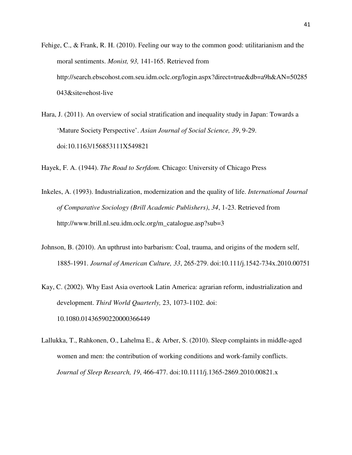- Fehige, C., & Frank, R. H. (2010). Feeling our way to the common good: utilitarianism and the moral sentiments. *Monist, 93,* 141-165. Retrieved from http://search.ebscohost.com.seu.idm.oclc.org/login.aspx?direct=true&db=a9h&AN=50285 043&site=ehost-live
- Hara, J. (2011). An overview of social stratification and inequality study in Japan: Towards a 'Mature Society Perspective'. *Asian Journal of Social Science, 39*, 9-29. doi:10.1163/156853111X549821

Hayek, F. A. (1944). *The Road to Serfdom.* Chicago: University of Chicago Press

- Inkeles, A. (1993). Industrialization, modernization and the quality of life. *International Journal of Comparative Sociology (Brill Academic Publishers)*, *34*, 1-23. Retrieved from http://www.brill.nl.seu.idm.oclc.org/m\_catalogue.asp?sub=3
- Johnson, B. (2010). An upthrust into barbarism: Coal, trauma, and origins of the modern self, 1885-1991. *Journal of American Culture, 33*, 265-279. doi:10.111/j.1542-734x.2010.00751
- Kay, C. (2002). Why East Asia overtook Latin America: agrarian reform, industrialization and development. *Third World Quarterly,* 23, 1073-1102. doi: 10.1080.01436590220000366449
- Lallukka, T., Rahkonen, O., Lahelma E., & Arber, S. (2010). Sleep complaints in middle-aged women and men: the contribution of working conditions and work-family conflicts. *Journal of Sleep Research, 19*, 466-477. doi:10.1111/j.1365-2869.2010.00821.x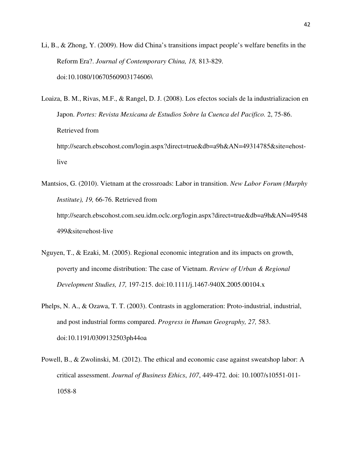Li, B., & Zhong, Y. (2009). How did China's transitions impact people's welfare benefits in the Reform Era?. *Journal of Contemporary China, 18,* 813-829. doi:10.1080/10670560903174606\

Loaiza, B. M., Rivas, M.F., & Rangel, D. J. (2008). Los efectos socials de la industrializacion en Japon. *Portes: Revista Mexicana de Estudios Sobre la Cuenca del Pacifico.* 2, 75-86. Retrieved from http://search.ebscohost.com/login.aspx?direct=true&db=a9h&AN=49314785&site=ehostlive

Mantsios, G. (2010). Vietnam at the crossroads: Labor in transition. *New Labor Forum (Murphy Institute), 19,* 66-76. Retrieved from http://search.ebscohost.com.seu.idm.oclc.org/login.aspx?direct=true&db=a9h&AN=49548 499&site=ehost-live

- Nguyen, T., & Ezaki, M. (2005). Regional economic integration and its impacts on growth, poverty and income distribution: The case of Vietnam. *Review of Urban & Regional Development Studies, 17,* 197-215. doi:10.1111/j.1467-940X.2005.00104.x
- Phelps, N. A., & Ozawa, T. T. (2003). Contrasts in agglomeration: Proto-industrial, industrial, and post industrial forms compared. *Progress in Human Geography, 27,* 583. doi:10.1191/0309132503ph44oa
- Powell, B., & Zwolinski, M. (2012). The ethical and economic case against sweatshop labor: A critical assessment. *Journal of Business Ethics*, *107*, 449-472. doi: 10.1007/s10551-011- 1058-8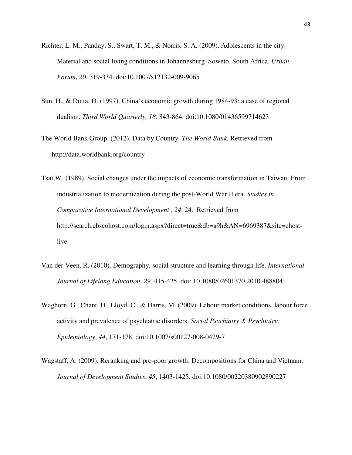- Richter, L. M., Panday, S., Swart, T. M., & Norris, S. A. (2009). Adolescents in the city: Material and social living conditions in Johannesburg–Soweto, South Africa. *Urban Forum*, *20*, 319-334. doi:10.1007/s12132-009-9065
- Sun, H., & Dutta, D. (1997). China's economic growth during 1984-93: a case of regional dualism. *Third World Quarterly, 18,* 843-864. doi:10.1080/01436599714623

The World Bank Group. (2012). Data by Country. *The World Bank.* Retrieved from http://data.worldbank.org/country

- Tsai,W . (1989). Social changes under the impacts of economic transformation in Taiwan: From industrialization to modernization during the post-World War II era. *Studies in Comparative International Development , 24*, 24. Retrieved from http://search.ebscohost.com/login.aspx?direct=true&db=a9h&AN=6969387&site=ehostlive
- Van der Veen, R. (2010). Demography, social structure and learning through life. *International Journal of Lifelong Education, 29,* 415-425. doi: 10.1080/02601370.2010.488804
- Waghorn, G., Chant, D., Lloyd, C., & Harris, M. (2009). Labour market conditions, labour force activity and prevalence of psychiatric disorders. *Social Psychiatry & Psychiatric Epidemiology*, *44*, 171-178. doi:10.1007/s00127-008-0429-7
- Wagstaff, A. (2009). Reranking and pro-poor growth: Decompositions for China and Vietnam. *Journal of Development Studies*, *45*, 1403-1425. doi:10.1080/00220380902890227